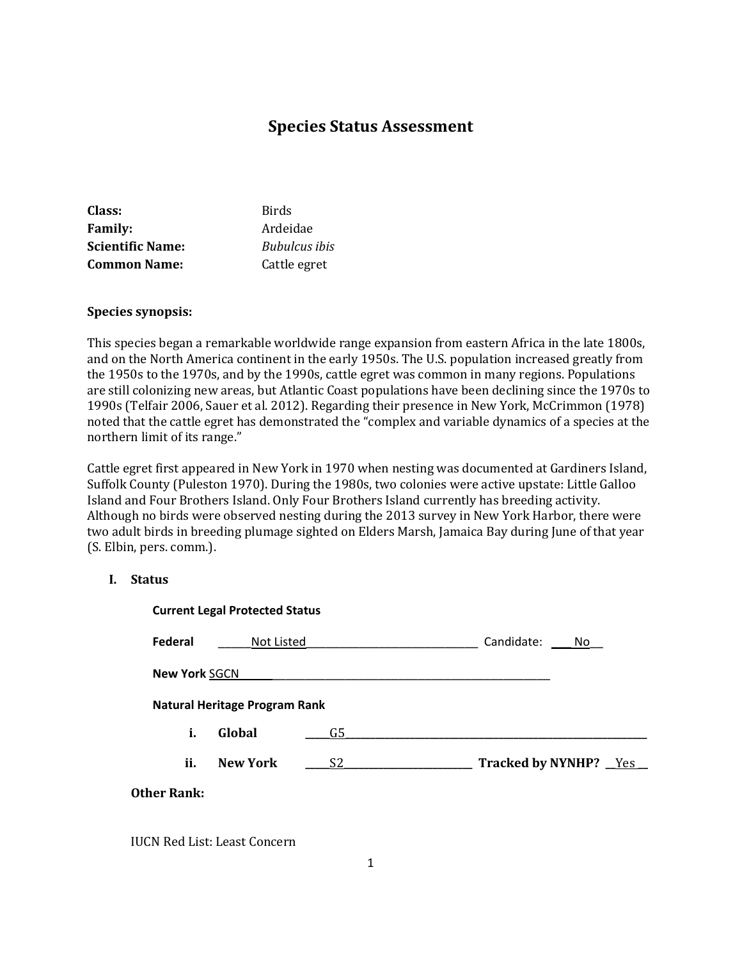# **Species Status Assessment**

| Class:                  | <b>Birds</b>         |
|-------------------------|----------------------|
| <b>Family:</b>          | Ardeidae             |
| <b>Scientific Name:</b> | <b>Bubulcus</b> ibis |
| <b>Common Name:</b>     | Cattle egret         |

### **Species synopsis:**

This species began a remarkable worldwide range expansion from eastern Africa in the late 1800s, and on the North America continent in the early 1950s. The U.S. population increased greatly from the 1950s to the 1970s, and by the 1990s, cattle egret was common in many regions. Populations are still colonizing new areas, but Atlantic Coast populations have been declining since the 1970s to 1990s (Telfair 2006, Sauer et al. 2012). Regarding their presence in New York, McCrimmon (1978) noted that the cattle egret has demonstrated the "complex and variable dynamics of a species at the northern limit of its range."

Cattle egret first appeared in New York in 1970 when nesting was documented at Gardiners Island, Suffolk County (Puleston 1970). During the 1980s, two colonies were active upstate: Little Galloo Island and Four Brothers Island. Only Four Brothers Island currently has breeding activity. Although no birds were observed nesting during the 2013 survey in New York Harbor, there were two adult birds in breeding plumage sighted on Elders Marsh, Jamaica Bay during June of that year (S. Elbin, pers. comm.).

### **I. Status**

| <b>Current Legal Protected Status</b> |                                      |                |                         |
|---------------------------------------|--------------------------------------|----------------|-------------------------|
| Federal                               | Not Listed                           |                | Candidate:<br>No.       |
| <b>New York SGCN</b>                  |                                      |                |                         |
|                                       | <b>Natural Heritage Program Rank</b> |                |                         |
| i.                                    | Global                               | G5             |                         |
| ii.                                   | <b>New York</b>                      | S <sub>2</sub> | Tracked by NYNHP? _Yes_ |
| <b>Other Rank:</b>                    |                                      |                |                         |

IUCN Red List: Least Concern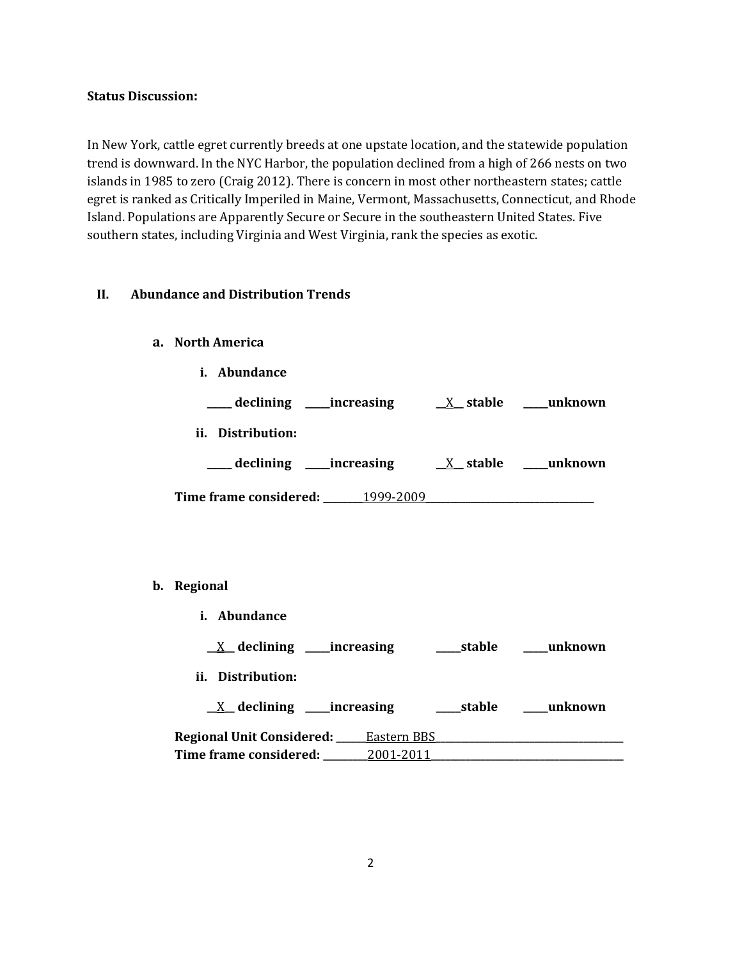### **Status Discussion:**

In New York, cattle egret currently breeds at one upstate location, and the statewide population trend is downward. In the NYC Harbor, the population declined from a high of 266 nests on two islands in 1985 to zero (Craig 2012). There is concern in most other northeastern states; cattle egret is ranked as Critically Imperiled in Maine, Vermont, Massachusetts, Connecticut, and Rhode Island. Populations are Apparently Secure or Secure in the southeastern United States. Five southern states, including Virginia and West Virginia, rank the species as exotic.

### **II. Abundance and Distribution Trends**

### **a. North America**

| Abundance<br>i.                            |                  |
|--------------------------------------------|------------------|
| ___ declining _____increasing              | X stable unknown |
| ii. Distribution:                          |                  |
| __declining ____increasing                 | X stable unknown |
| <b>Time frame considered:</b><br>1999-2009 |                  |

#### **b. Regional**

| Abundance<br>i.                  |             |            |         |
|----------------------------------|-------------|------------|---------|
| $X$ declining ______ increasing  |             | ____stable | unknown |
| ii.<br>Distribution:             |             |            |         |
| $X$ declining ______ increasing  |             | ___stable  | unknown |
| <b>Regional Unit Considered:</b> | Eastern BBS |            |         |
| Time frame considered:           | 2001-2011   |            |         |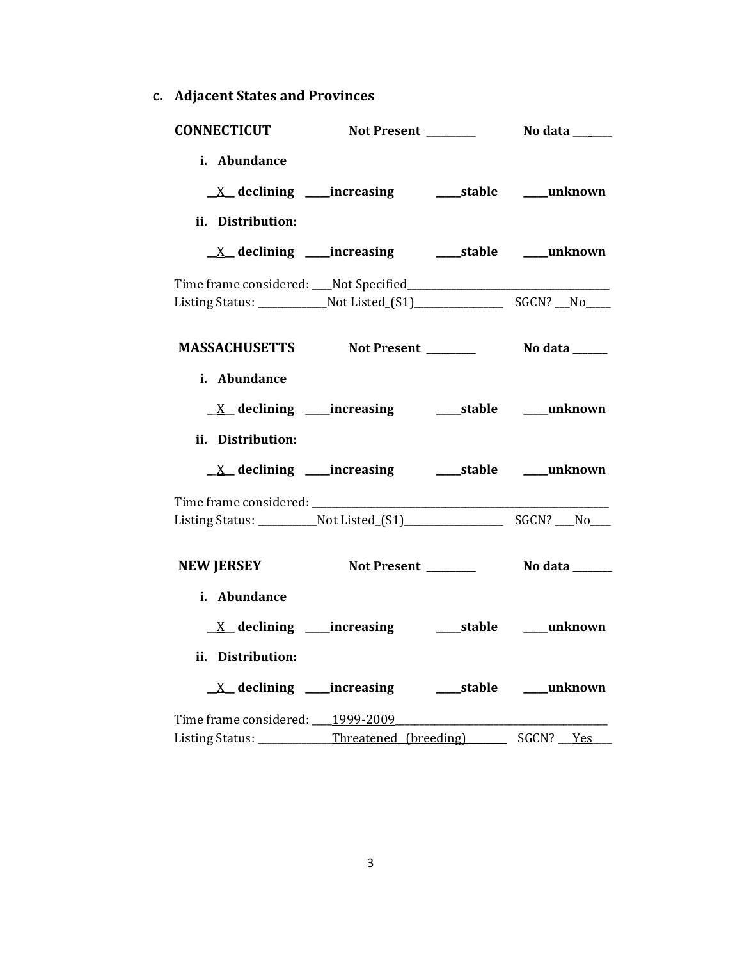**c. Adjacent States and Provinces**

| <b>CONNECTICUT</b>                                                                                              |  |  |
|-----------------------------------------------------------------------------------------------------------------|--|--|
| i. Abundance<br><u>X</u> declining ____increasing ______stable ____unknown<br>ii. Distribution:                 |  |  |
|                                                                                                                 |  |  |
| Time frame considered: Not Specified                                                                            |  |  |
| MASSACHUSETTS Not Present _________ No data _____                                                               |  |  |
| i. Abundance<br>ii. Distribution:                                                                               |  |  |
| <u>X</u> declining ____increasing ______stable ____unknown                                                      |  |  |
|                                                                                                                 |  |  |
| NEW JERSEY Not Present Notal Nodata                                                                             |  |  |
| i. Abundance<br>ii. Distribution:                                                                               |  |  |
| Time frame considered: ___ 1999-2009<br>Listing Status: ___________Threatened_(breeding) _________ SGCN? ___Yes |  |  |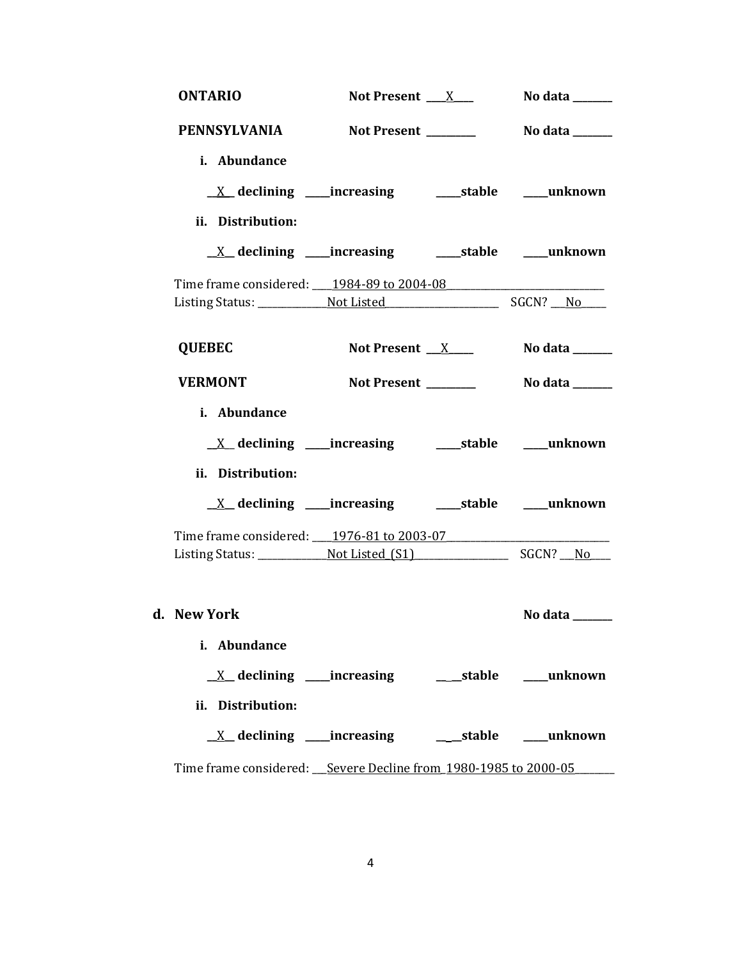| <b>ONTARIO</b>    | Not Present $X_{\text{max}}$                                       | No data ______                               |
|-------------------|--------------------------------------------------------------------|----------------------------------------------|
| PENNSYLVANIA      | Not Present ________                                               | <b>No data</b> _______                       |
| i. Abundance      |                                                                    |                                              |
|                   |                                                                    |                                              |
| ii. Distribution: |                                                                    |                                              |
|                   | <u>X</u> declining ____increasing ___________stable ______unknown  |                                              |
|                   | Time frame considered: 1984-89 to 2004-08                          |                                              |
|                   |                                                                    |                                              |
| <b>QUEBEC</b>     | Not Present $X$                                                    | No data $\_\_\_\_\_\_\_\_\_\_\_\_\_\_\_\_\_$ |
| <b>VERMONT</b>    | Not Present _______                                                | No data _______                              |
| i. Abundance      |                                                                    |                                              |
|                   |                                                                    |                                              |
|                   |                                                                    |                                              |
| ii. Distribution: |                                                                    |                                              |
|                   |                                                                    |                                              |
|                   | Time frame considered: 1976-81 to 2003-07                          |                                              |
|                   |                                                                    |                                              |
|                   |                                                                    |                                              |
| d. New York       |                                                                    | No data ______                               |
| i. Abundance      |                                                                    |                                              |
|                   |                                                                    |                                              |
| ii. Distribution: |                                                                    |                                              |
|                   |                                                                    | unknown                                      |
|                   | Time frame considered: __ Severe Decline from 1980-1985 to 2000-05 |                                              |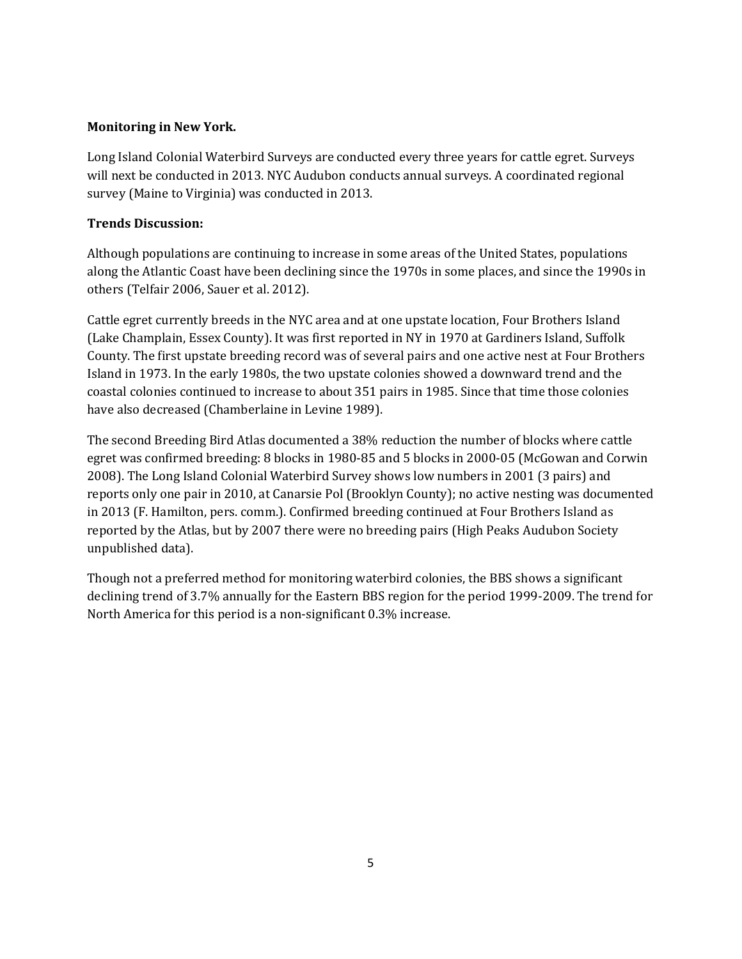### **Monitoring in New York.**

Long Island Colonial Waterbird Surveys are conducted every three years for cattle egret. Surveys will next be conducted in 2013. NYC Audubon conducts annual surveys. A coordinated regional survey (Maine to Virginia) was conducted in 2013.

# **Trends Discussion:**

Although populations are continuing to increase in some areas of the United States, populations along the Atlantic Coast have been declining since the 1970s in some places, and since the 1990s in others (Telfair 2006, Sauer et al. 2012).

Cattle egret currently breeds in the NYC area and at one upstate location, Four Brothers Island (Lake Champlain, Essex County). It was first reported in NY in 1970 at Gardiners Island, Suffolk County. The first upstate breeding record was of several pairs and one active nest at Four Brothers Island in 1973. In the early 1980s, the two upstate colonies showed a downward trend and the coastal colonies continued to increase to about 351 pairs in 1985. Since that time those colonies have also decreased (Chamberlaine in Levine 1989).

The second Breeding Bird Atlas documented a 38% reduction the number of blocks where cattle egret was confirmed breeding: 8 blocks in 1980-85 and 5 blocks in 2000-05 (McGowan and Corwin 2008). The Long Island Colonial Waterbird Survey shows low numbers in 2001 (3 pairs) and reports only one pair in 2010, at Canarsie Pol (Brooklyn County); no active nesting was documented in 2013 (F. Hamilton, pers. comm.). Confirmed breeding continued at Four Brothers Island as reported by the Atlas, but by 2007 there were no breeding pairs (High Peaks Audubon Society unpublished data).

Though not a preferred method for monitoring waterbird colonies, the BBS shows a significant declining trend of 3.7% annually for the Eastern BBS region for the period 1999-2009. The trend for North America for this period is a non-significant 0.3% increase.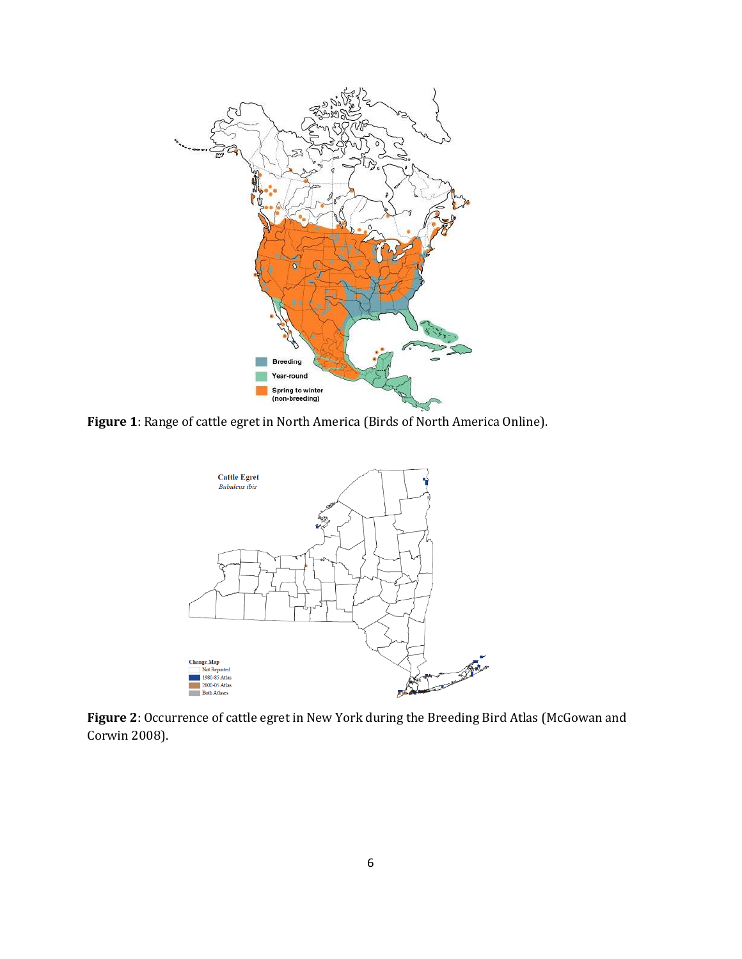

**Figure 1**: Range of cattle egret in North America (Birds of North America Online).



**Figure 2**: Occurrence of cattle egret in New York during the Breeding Bird Atlas (McGowan and Corwin 2008).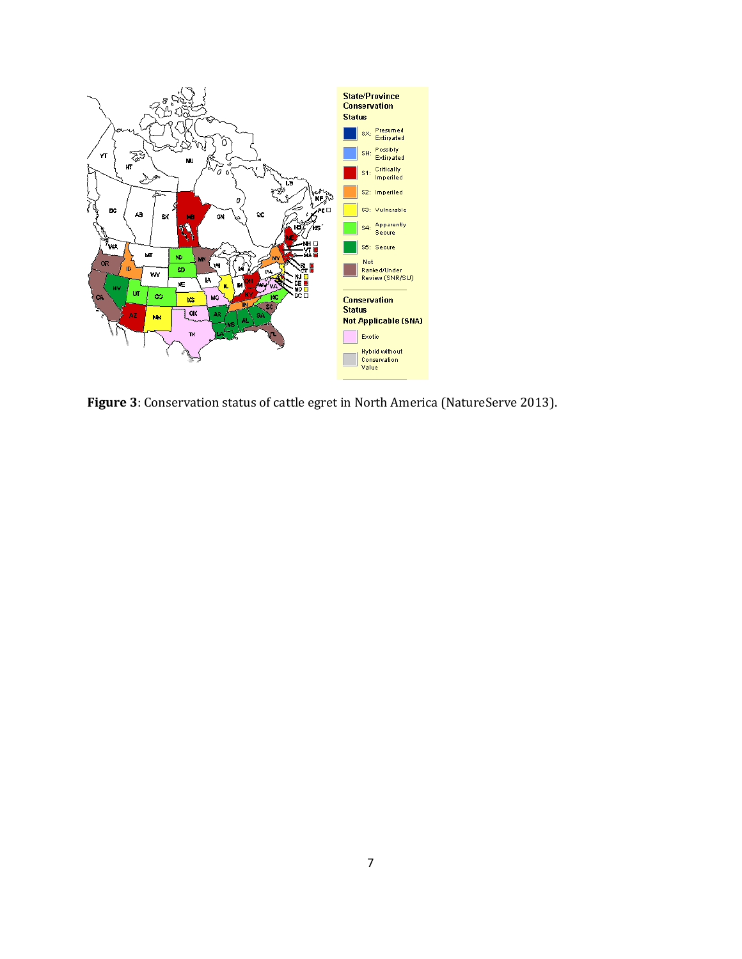

**Figure 3**: Conservation status of cattle egret in North America (NatureServe 2013).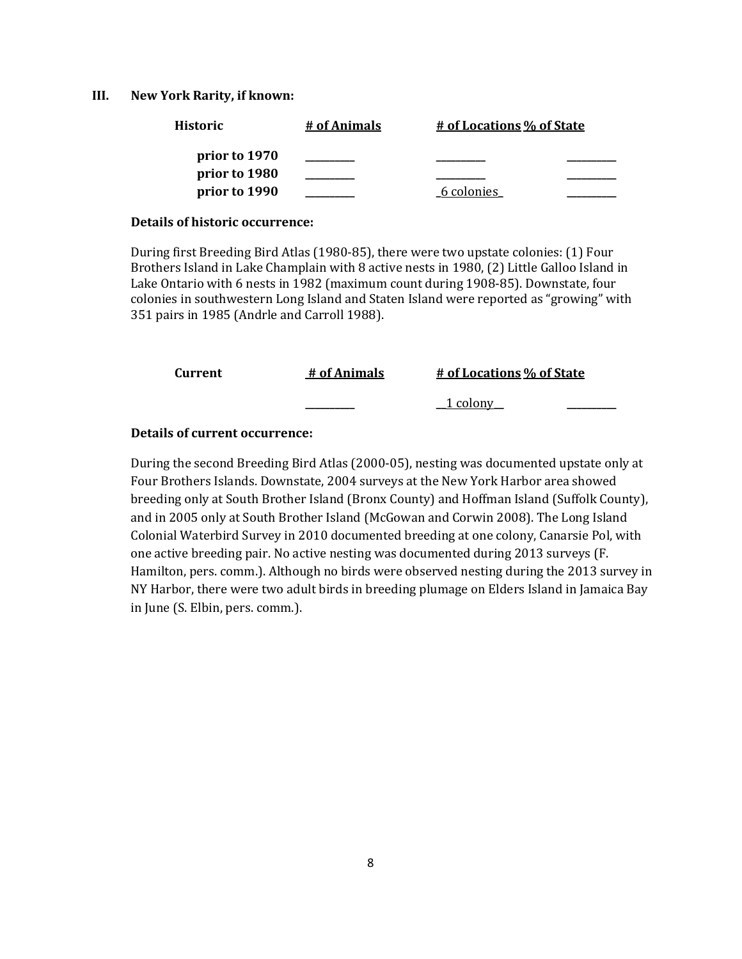#### **III. New York Rarity, if known:**

| Historic      | # of Animals | # of Locations % of State |  |
|---------------|--------------|---------------------------|--|
| prior to 1970 |              |                           |  |
| prior to 1980 |              |                           |  |
| prior to 1990 |              | 6 colonies                |  |

#### **Details of historic occurrence:**

During first Breeding Bird Atlas (1980-85), there were two upstate colonies: (1) Four Brothers Island in Lake Champlain with 8 active nests in 1980, (2) Little Galloo Island in Lake Ontario with 6 nests in 1982 (maximum count during 1908-85). Downstate, four colonies in southwestern Long Island and Staten Island were reported as "growing" with 351 pairs in 1985 (Andrle and Carroll 1988).

| Current | # of Animals | # of Locations % of State |
|---------|--------------|---------------------------|
|         |              | <u>_1 colony</u>          |

### **Details of current occurrence:**

During the second Breeding Bird Atlas (2000-05), nesting was documented upstate only at Four Brothers Islands. Downstate, 2004 surveys at the New York Harbor area showed breeding only at South Brother Island (Bronx County) and Hoffman Island (Suffolk County), and in 2005 only at South Brother Island (McGowan and Corwin 2008). The Long Island Colonial Waterbird Survey in 2010 documented breeding at one colony, Canarsie Pol, with one active breeding pair. No active nesting was documented during 2013 surveys (F. Hamilton, pers. comm.). Although no birds were observed nesting during the 2013 survey in NY Harbor, there were two adult birds in breeding plumage on Elders Island in Jamaica Bay in June (S. Elbin, pers. comm.).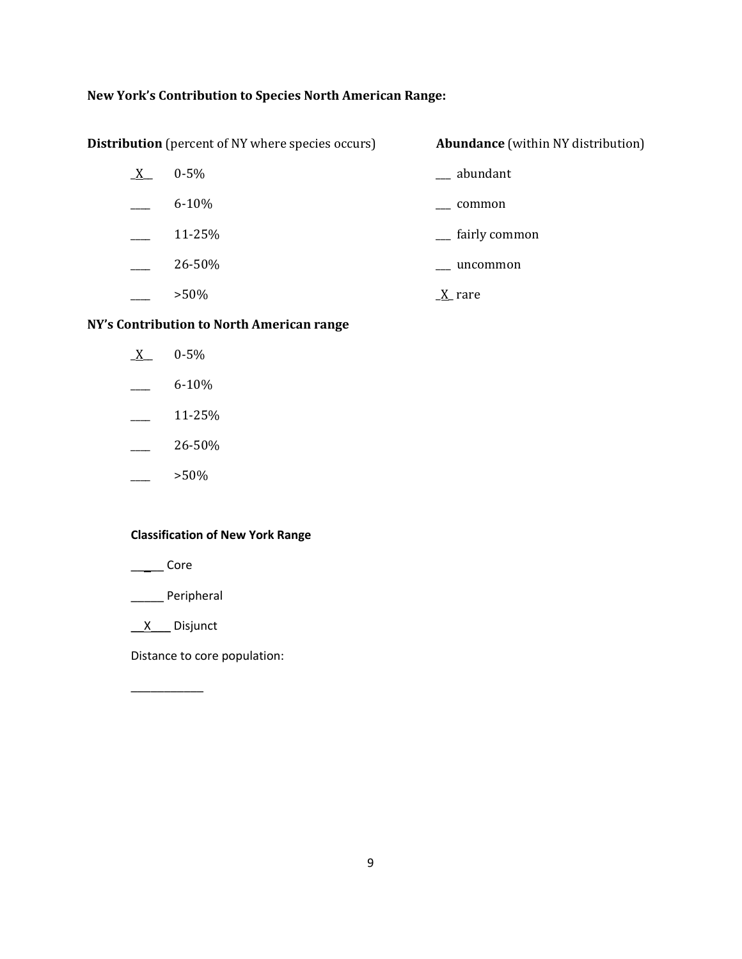# **New York's Contribution to Species North American Range:**

| $\underline{X}$ | $0 - 5\%$ | $\equiv$ abundant          |
|-----------------|-----------|----------------------------|
|                 | $6 - 10%$ | common                     |
|                 | 11-25%    | <sub>-</sub> fairly common |
|                 | 26-50%    | uncommon                   |
|                 | $>50\%$   | $X$ rare                   |

**Distribution** (percent of NY where species occurs) **Abundance** (within NY distribution)

### **NY's Contribution to North American range**

| $0 - 5%$  |
|-----------|
| $6 - 10%$ |
| 11-25%    |
| 26-50%    |
| >50%      |

### **Classification of New York Range**

\_\_\_\_\_ Core

\_\_\_\_\_ Peripheral

\_\_X\_\_\_ Disjunct

\_\_\_\_\_\_\_\_\_\_\_

Distance to core population: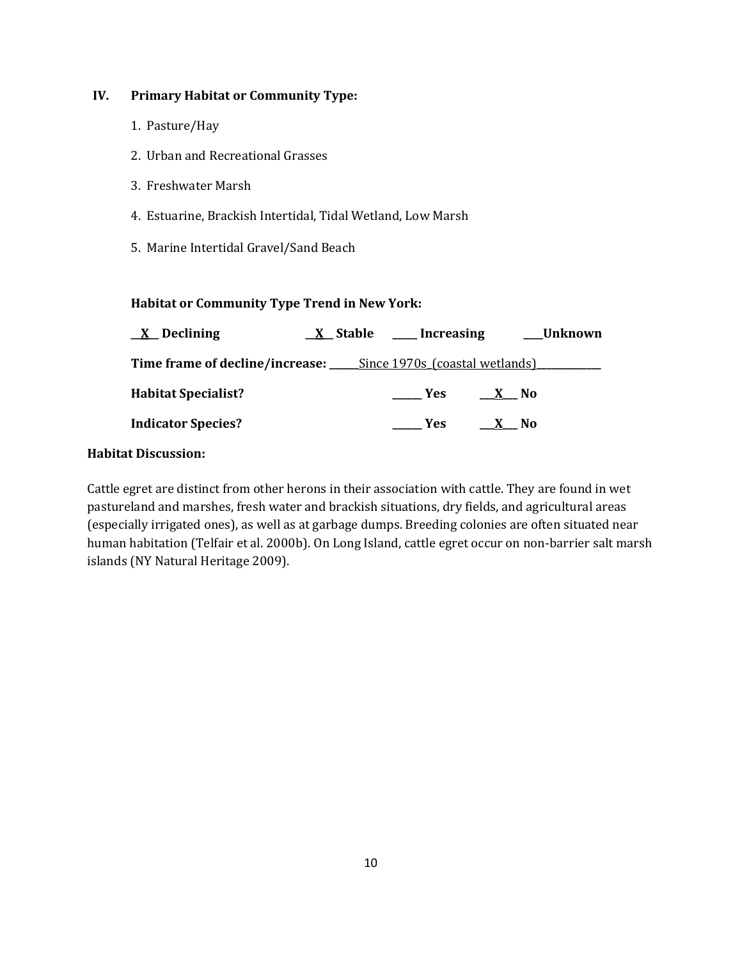# **IV. Primary Habitat or Community Type:**

- 1. Pasture/Hay
- 2. Urban and Recreational Grasses
- 3. Freshwater Marsh
- 4. Estuarine, Brackish Intertidal, Tidal Wetland, Low Marsh
- 5. Marine Intertidal Gravel/Sand Beach

# **Habitat or Community Type Trend in New York:**

| $\underline{X}$ Declining                                                        | $X$ Stable _____ Increasing |        | ___Unknown |
|----------------------------------------------------------------------------------|-----------------------------|--------|------------|
| Time frame of decline/increase: ______Since 1970s (coastal wetlands) ___________ |                             |        |            |
| <b>Habitat Specialist?</b>                                                       | <b>Example SER</b>          | $X$ No |            |
| <b>Indicator Species?</b>                                                        | Yes:                        | X No   |            |

### **Habitat Discussion:**

Cattle egret are distinct from other herons in their association with cattle. They are found in wet pastureland and marshes, fresh water and brackish situations, dry fields, and agricultural areas (especially irrigated ones), as well as at garbage dumps. Breeding colonies are often situated near human habitation (Telfair et al. 2000b). On Long Island, cattle egret occur on non-barrier salt marsh islands (NY Natural Heritage 2009).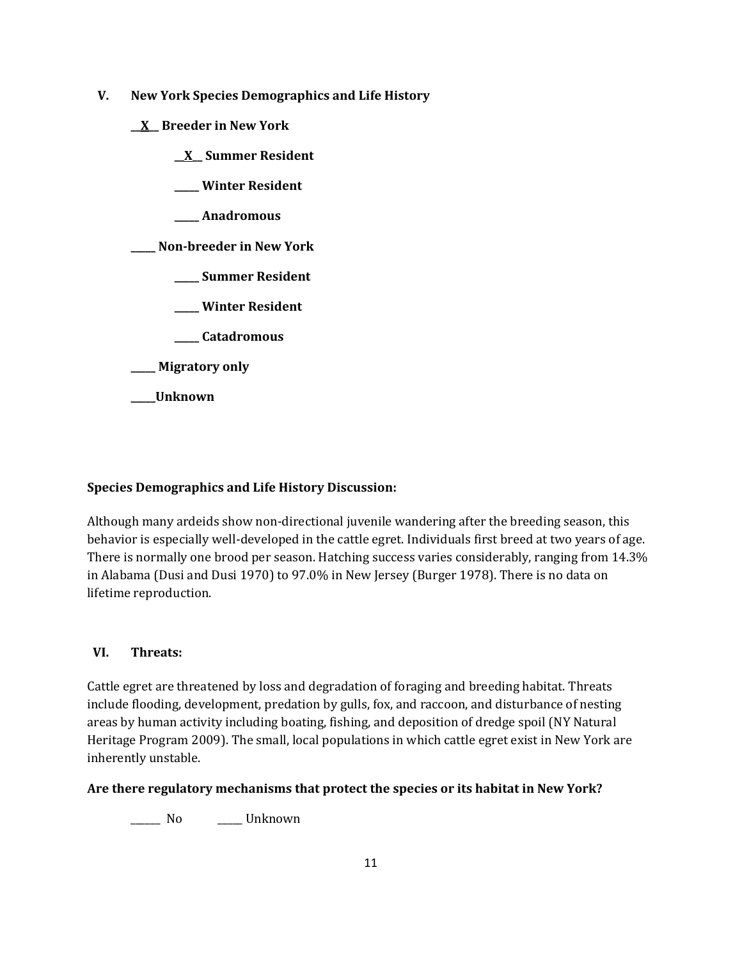- **V. New York Species Demographics and Life History**
	- **\_\_X\_\_ Breeder in New York**
		- **\_\_X\_\_ Summer Resident**
		- **\_\_\_\_\_ Winter Resident**
		- **\_\_\_\_\_ Anadromous**

**\_\_\_\_\_ Non-breeder in New York**

- **\_\_\_\_\_ Summer Resident**
- **\_\_\_\_\_ Winter Resident**
- **\_\_\_\_\_ Catadromous**
- **\_\_\_\_\_ Migratory only**
- **\_\_\_\_\_Unknown**

# **Species Demographics and Life History Discussion:**

Although many ardeids show non-directional juvenile wandering after the breeding season, this behavior is especially well-developed in the cattle egret. Individuals first breed at two years of age. There is normally one brood per season. Hatching success varies considerably, ranging from 14.3% in Alabama (Dusi and Dusi 1970) to 97.0% in New Jersey (Burger 1978). There is no data on lifetime reproduction.

# **VI. Threats:**

Cattle egret are threatened by loss and degradation of foraging and breeding habitat. Threats include flooding, development, predation by gulls, fox, and raccoon, and disturbance of nesting areas by human activity including boating, fishing, and deposition of dredge spoil (NY Natural Heritage Program 2009). The small, local populations in which cattle egret exist in New York are inherently unstable.

### **Are there regulatory mechanisms that protect the species or its habitat in New York?**

\_\_\_\_\_\_ No \_\_\_\_\_ Unknown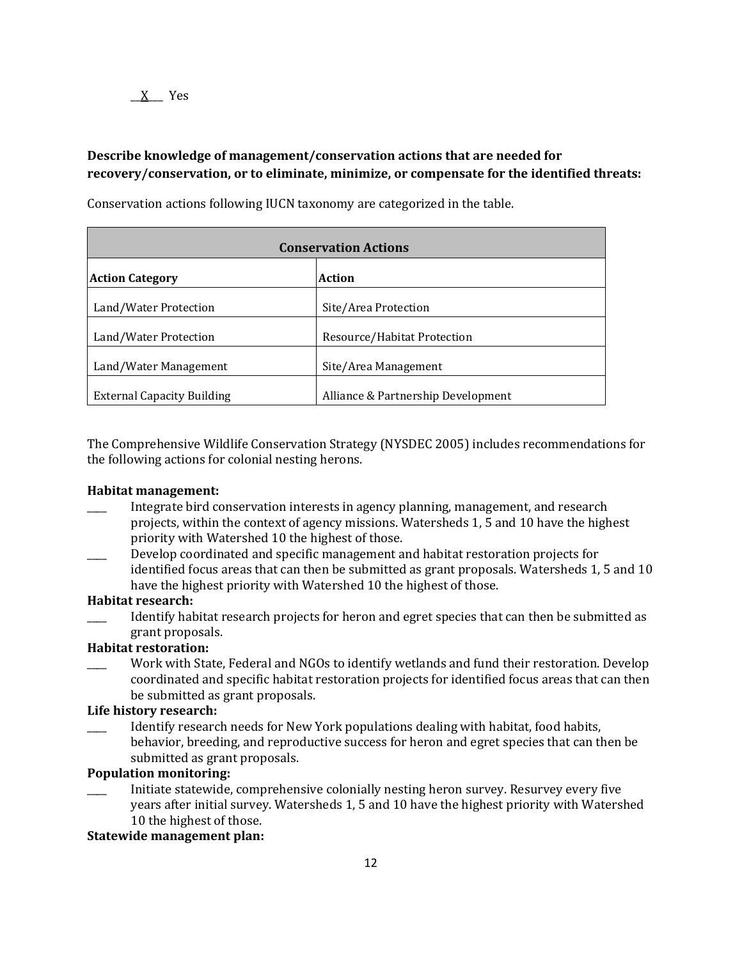# **Describe knowledge of management/conservation actions that are needed for recovery/conservation, or to eliminate, minimize, or compensate for the identified threats:**

| <b>Conservation Actions</b>       |                                    |  |
|-----------------------------------|------------------------------------|--|
| <b>Action Category</b>            | <b>Action</b>                      |  |
| Land/Water Protection             | Site/Area Protection               |  |
| Land/Water Protection             | Resource/Habitat Protection        |  |
| Land/Water Management             | Site/Area Management               |  |
| <b>External Capacity Building</b> | Alliance & Partnership Development |  |

Conservation actions following IUCN taxonomy are categorized in the table.

The Comprehensive Wildlife Conservation Strategy (NYSDEC 2005) includes recommendations for the following actions for colonial nesting herons.

#### **Habitat management:**

- Integrate bird conservation interests in agency planning, management, and research projects, within the context of agency missions. Watersheds 1, 5 and 10 have the highest priority with Watershed 10 the highest of those.
- \_\_\_\_ Develop coordinated and specific management and habitat restoration projects for identified focus areas that can then be submitted as grant proposals. Watersheds 1, 5 and 10 have the highest priority with Watershed 10 the highest of those.

#### **Habitat research:**

Identify habitat research projects for heron and egret species that can then be submitted as grant proposals.

### **Habitat restoration:**

Work with State, Federal and NGOs to identify wetlands and fund their restoration. Develop coordinated and specific habitat restoration projects for identified focus areas that can then be submitted as grant proposals.

#### **Life history research:**

Identify research needs for New York populations dealing with habitat, food habits, behavior, breeding, and reproductive success for heron and egret species that can then be submitted as grant proposals.

# **Population monitoring:**

\_\_\_\_ Initiate statewide, comprehensive colonially nesting heron survey. Resurvey every five years after initial survey. Watersheds 1, 5 and 10 have the highest priority with Watershed 10 the highest of those.

### **Statewide management plan:**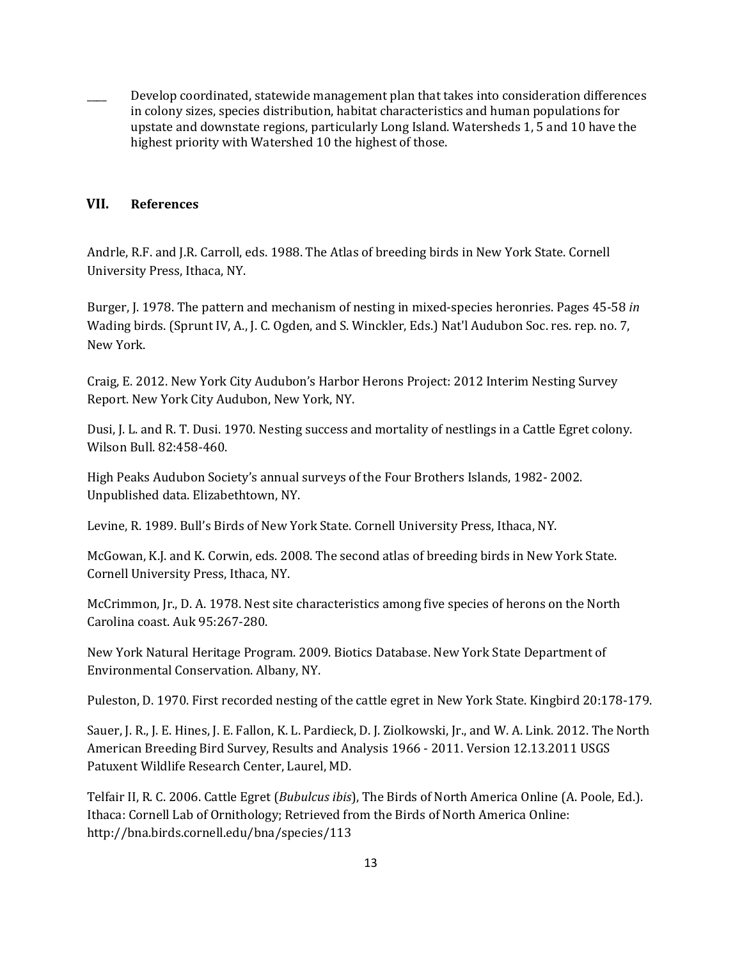Develop coordinated, statewide management plan that takes into consideration differences in colony sizes, species distribution, habitat characteristics and human populations for upstate and downstate regions, particularly Long Island. Watersheds 1, 5 and 10 have the highest priority with Watershed 10 the highest of those.

### **VII. References**

Andrle, R.F. and J.R. Carroll, eds. 1988. The Atlas of breeding birds in New York State. Cornell University Press, Ithaca, NY.

Burger, J. 1978. The pattern and mechanism of nesting in mixed-species heronries. Pages 45-58 *in* Wading birds. (Sprunt IV, A., J. C. Ogden, and S. Winckler, Eds.) Nat'l Audubon Soc. res. rep. no. 7, New York.

Craig, E. 2012. New York City Audubon's Harbor Herons Project: 2012 Interim Nesting Survey Report. New York City Audubon, New York, NY.

Dusi, J. L. and R. T. Dusi. 1970. Nesting success and mortality of nestlings in a Cattle Egret colony. Wilson Bull. 82:458-460.

High Peaks Audubon Society's annual surveys of the Four Brothers Islands, 1982- 2002. Unpublished data. Elizabethtown, NY.

Levine, R. 1989. Bull's Birds of New York State. Cornell University Press, Ithaca, NY.

McGowan, K.J. and K. Corwin, eds. 2008. The second atlas of breeding birds in New York State. Cornell University Press, Ithaca, NY.

McCrimmon, Jr., D. A. 1978. Nest site characteristics among five species of herons on the North Carolina coast. Auk 95:267-280.

New York Natural Heritage Program. 2009. Biotics Database. New York State Department of Environmental Conservation. Albany, NY.

Puleston, D. 1970. First recorded nesting of the cattle egret in New York State. Kingbird 20:178-179.

Sauer, J. R., J. E. Hines, J. E. Fallon, K. L. Pardieck, D. J. Ziolkowski, Jr., and W. A. Link. 2012. The North American Breeding Bird Survey, Results and Analysis 1966 - 2011. Version 12.13.2011 USGS Patuxent Wildlife Research Center, Laurel, MD.

Telfair II, R. C. 2006. Cattle Egret (*Bubulcus ibis*), The Birds of North America Online (A. Poole, Ed.). Ithaca: Cornell Lab of Ornithology; Retrieved from the Birds of North America Online: http://bna.birds.cornell.edu/bna/species/113